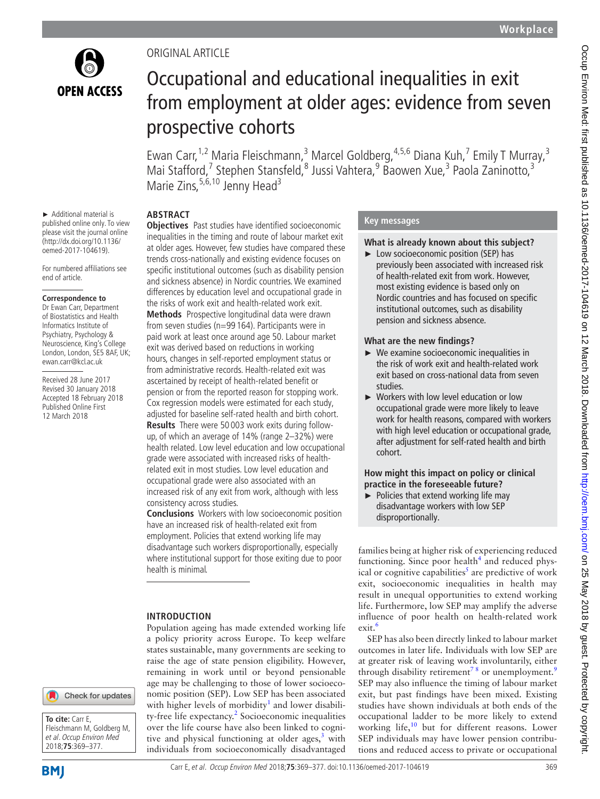

Original article

# Occupational and educational inequalities in exit from employment at older ages: evidence from seven prospective cohorts

Ewan Carr,<sup>1,2</sup> Maria Fleischmann,<sup>3</sup> Marcel Goldberg,<sup>4,5,6</sup> Diana Kuh,<sup>7</sup> Emily T Murray,<sup>3</sup> Mai Stafford,<sup>7</sup> Stephen Stansfeld, <sup>8</sup> Jussi Vahtera, <sup>9</sup> Baowen Xue, <sup>3</sup> Paola Zaninotto, <sup>3</sup> Marie Zins,  $5,6,10$  Jenny Head<sup>3</sup>

#### ► Additional material is published online only. To view please visit the journal online (http://dx.doi.org/10.1136/ oemed-2017-104619).

For numbered affiliations see end of article.

#### **Correspondence to**

Dr Ewan Carr, Department of Biostatistics and Health Informatics Institute of Psychiatry, Psychology & Neuroscience, King's College London, London, SE5 8AF, UK; ewan.carr@kcl.ac.uk

Received 28 June 2017 Revised 30 January 2018 Accepted 18 February 2018 Published Online First 12 March 2018

# **Abstract**

**Objectives** Past studies have identified socioeconomic inequalities in the timing and route of labour market exit at older ages. However, few studies have compared these trends cross-nationally and existing evidence focuses on specific institutional outcomes (such as disability pension and sickness absence) in Nordic countries. We examined differences by education level and occupational grade in the risks of work exit and health-related work exit. **Methods** Prospective longitudinal data were drawn from seven studies (n=99 164). Participants were in paid work at least once around age 50. Labour market exit was derived based on reductions in working hours, changes in self-reported employment status or from administrative records. Health-related exit was ascertained by receipt of health-related benefit or pension or from the reported reason for stopping work. Cox regression models were estimated for each study, adjusted for baseline self-rated health and birth cohort.

**Results** There were 50 003 work exits during followup, of which an average of 14% (range 2–32%) were health related. Low level education and low occupational grade were associated with increased risks of healthrelated exit in most studies. Low level education and occupational grade were also associated with an increased risk of any exit from work, although with less consistency across studies.

**Conclusions** Workers with low socioeconomic position have an increased risk of health-related exit from employment. Policies that extend working life may disadvantage such workers disproportionally, especially where institutional support for those exiting due to poor health is minimal.

# **Introduction**

Population ageing has made extended working life a policy priority across Europe. To keep welfare states sustainable, many governments are seeking to raise the age of state pension eligibility. However, remaining in work until or beyond pensionable age may be challenging to those of lower socioeconomic position (SEP). Low SEP has been associated with higher levels of morbidity<sup>1</sup> and lower disabili-ty-free life expectancy.<sup>[2](#page-7-1)</sup> Socioeconomic inequalities over the life course have also been linked to cognitive and physical functioning at older ages, $3$  with individuals from socioeconomically disadvantaged

# **Key messages**

# **What is already known about this subject?**

► Low socioeconomic position (SEP) has previously been associated with increased risk of health-related exit from work. However, most existing evidence is based only on Nordic countries and has focused on specific institutional outcomes, such as disability pension and sickness absence.

# **What are the new findings?**

- ► We examine socioeconomic inequalities in the risk of work exit and health-related work exit based on cross-national data from seven studies.
- ► Workers with low level education or low occupational grade were more likely to leave work for health reasons, compared with workers with high level education or occupational grade, after adjustment for self-rated health and birth cohort.

## **How might this impact on policy or clinical practice in the foreseeable future?**

► Policies that extend working life may disadvantage workers with low SEP disproportionally.

families being at higher risk of experiencing reduced functioning. Since poor health $4$  and reduced physical or cognitive capabilities<sup>5</sup> are predictive of work exit, socioeconomic inequalities in health may result in unequal opportunities to extend working life. Furthermore, low SEP may amplify the adverse influence of poor health on health-related work exit.<sup>[6](#page-7-5)</sup>

SEP has also been directly linked to labour market outcomes in later life. Individuals with low SEP are at greater risk of leaving work involuntarily, either through disability retirement<sup>78</sup> or unemployment.<sup>[9](#page-7-7)</sup> SEP may also influence the timing of labour market exit, but past findings have been mixed. Existing studies have shown individuals at both ends of the occupational ladder to be more likely to extend working life,<sup>[10](#page-7-8)</sup> but for different reasons. Lower SEP individuals may have lower pension contributions and reduced access to private or occupational

**To cite:** Carr E, Fleischmann M, Goldberg M, et al. Occup Environ Med 2018;**75**:369–377.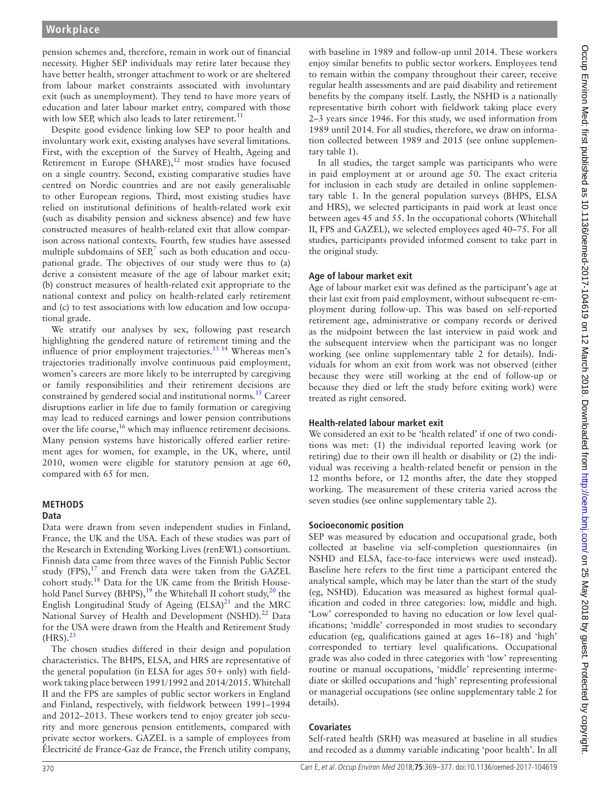pension schemes and, therefore, remain in work out of financial necessity. Higher SEP individuals may retire later because they have better health, stronger attachment to work or are sheltered from labour market constraints associated with involuntary exit (such as unemployment). They tend to have more years of education and later labour market entry, compared with those with low SEP, which also leads to later retirement.<sup>[11](#page-7-9)</sup>

Despite good evidence linking low SEP to poor health and involuntary work exit, existing analyses have several limitations. First, with the exception of the Survey of Health, Ageing and Retirement in Europe (SHARE), $12$  most studies have focused on a single country. Second, existing comparative studies have centred on Nordic countries and are not easily generalisable to other European regions. Third, most existing studies have relied on institutional definitions of health-related work exit (such as disability pension and sickness absence) and few have constructed measures of health-related exit that allow comparison across national contexts. Fourth, few studies have assessed multiple subdomains of  $SER$ <sup>7</sup> such as both education and occupational grade. The objectives of our study were thus to (a) derive a consistent measure of the age of labour market exit; (b) construct measures of health-related exit appropriate to the national context and policy on health-related early retirement and (c) to test associations with low education and low occupational grade.

We stratify our analyses by sex, following past research highlighting the gendered nature of retirement timing and the influence of prior employment trajectories.[13 14](#page-7-11) Whereas men's trajectories traditionally involve continuous paid employment, women's careers are more likely to be interrupted by caregiving or family responsibilities and their retirement decisions are constrained by gendered social and institutional norms.<sup>[15](#page-7-12)</sup> Career disruptions earlier in life due to family formation or caregiving may lead to reduced earnings and lower pension contributions over the life course,<sup>16</sup> which may influence retirement decisions. Many pension systems have historically offered earlier retirement ages for women, for example, in the UK, where, until 2010, women were eligible for statutory pension at age 60, compared with 65 for men.

# **Methods**

## **Data**

Data were drawn from seven independent studies in Finland, France, the UK and the USA. Each of these studies was part of the Research in Extending Working Lives (renEWL) consortium. Finnish data came from three waves of the Finnish Public Sector study (FPS), $^{17}$  and French data were taken from the GAZEL cohort study.[18](#page-7-15) Data for the UK came from the British Household Panel Survey (BHPS), $^{19}$  $^{19}$  $^{19}$  the Whitehall II cohort study, $^{20}$  the English Longitudinal Study of Ageing  $(ELSA)^{21}$  $(ELSA)^{21}$  $(ELSA)^{21}$  and the MRC National Survey of Health and Development (NSHD).<sup>[22](#page-7-19)</sup> Data for the USA were drawn from the Health and Retirement Study  $(HRS).<sup>23</sup>$  $(HRS).<sup>23</sup>$  $(HRS).<sup>23</sup>$ 

The chosen studies differed in their design and population characteristics. The BHPS, ELSA, and HRS are representative of the general population (in ELSA for ages 50+ only) with fieldwork taking place between 1991/1992 and 2014/2015. Whitehall II and the FPS are samples of public sector workers in England and Finland, respectively, with fieldwork between 1991–1994 and 2012–2013. These workers tend to enjoy greater job security and more generous pension entitlements, compared with private sector workers. GAZEL is a sample of employees from Électricité de France-Gaz de France, the French utility company,

with baseline in 1989 and follow-up until 2014. These workers enjoy similar benefits to public sector workers. Employees tend to remain within the company throughout their career, receive regular health assessments and are paid disability and retirement benefits by the company itself. Lastly, the NSHD is a nationally representative birth cohort with fieldwork taking place every 2–3 years since 1946. For this study, we used information from 1989 until 2014. For all studies, therefore, we draw on information collected between 1989 and 2015 (see online [supplemen](https://dx.doi.org/10.1136/oemed-2017-104619)[tary table 1](https://dx.doi.org/10.1136/oemed-2017-104619)).

In all studies, the target sample was participants who were in paid employment at or around age 50. The exact criteria for inclusion in each study are detailed in online [supplemen](https://dx.doi.org/10.1136/oemed-2017-104619)[tary table 1.](https://dx.doi.org/10.1136/oemed-2017-104619) In the general population surveys (BHPS, ELSA and HRS), we selected participants in paid work at least once between ages 45 and 55. In the occupational cohorts (Whitehall II, FPS and GAZEL), we selected employees aged 40–75. For all studies, participants provided informed consent to take part in the original study.

## **Age of labour market exit**

Age of labour market exit was defined as the participant's age at their last exit from paid employment, without subsequent re-employment during follow-up. This was based on self-reported retirement age, administrative or company records or derived as the midpoint between the last interview in paid work and the subsequent interview when the participant was no longer working (see online [supplementary table 2](https://dx.doi.org/10.1136/oemed-2017-104619) for details). Individuals for whom an exit from work was not observed (either because they were still working at the end of follow-up or because they died or left the study before exiting work) were treated as right censored.

## **Health-related labour market exit**

We considered an exit to be 'health related' if one of two conditions was met: (1) the individual reported leaving work (or retiring) due to their own ill health or disability or (2) the individual was receiving a health-related benefit or pension in the 12 months before, or 12 months after, the date they stopped working. The measurement of these criteria varied across the seven studies (see online [supplementary table 2](https://dx.doi.org/10.1136/oemed-2017-104619)).

## **Socioeconomic position**

SEP was measured by education and occupational grade, both collected at baseline via self-completion questionnaires (in NSHD and ELSA, face-to-face interviews were used instead). Baseline here refers to the first time a participant entered the analytical sample, which may be later than the start of the study (eg, NSHD). Education was measured as highest formal qualification and coded in three categories: low, middle and high. 'Low' corresponded to having no education or low level qualifications; 'middle' corresponded in most studies to secondary education (eg, qualifications gained at ages 16–18) and 'high' corresponded to tertiary level qualifications. Occupational grade was also coded in three categories with 'low' representing routine or manual occupations, 'middle' representing intermediate or skilled occupations and 'high' representing professional or managerial occupations (see online [supplementary table 2](https://dx.doi.org/10.1136/oemed-2017-104619) for details).

# **Covariates**

Self-rated health (SRH) was measured at baseline in all studies and recoded as a dummy variable indicating 'poor health'. In all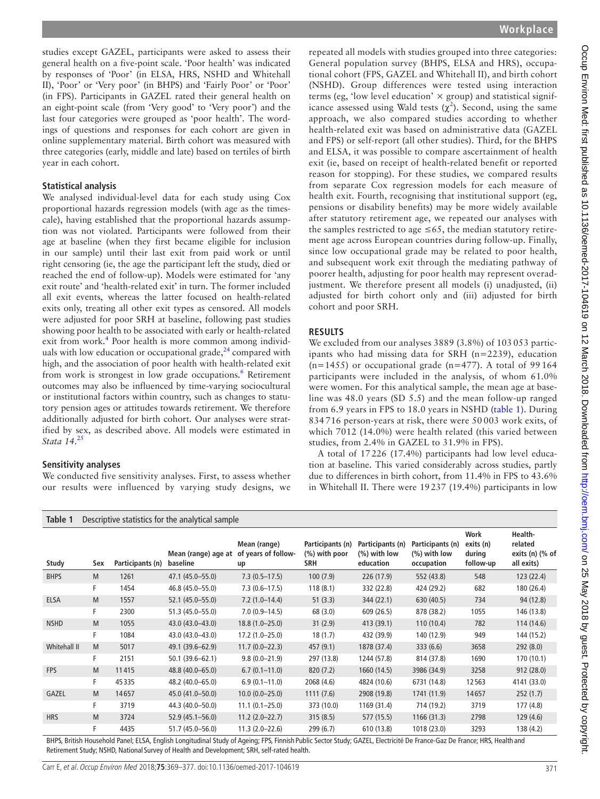studies except GAZEL, participants were asked to assess their general health on a five-point scale. 'Poor health' was indicated by responses of 'Poor' (in ELSA, HRS, NSHD and Whitehall II), 'Poor' or 'Very poor' (in BHPS) and 'Fairly Poor' or 'Poor' (in FPS). Participants in GAZEL rated their general health on an eight-point scale (from 'Very good' to 'Very poor') and the last four categories were grouped as 'poor health'. The wordings of questions and responses for each cohort are given in online [supplementary material.](https://dx.doi.org/10.1136/oemed-2017-104619) Birth cohort was measured with three categories (early, middle and late) based on tertiles of birth year in each cohort.

#### **Statistical analysis**

We analysed individual-level data for each study using Cox proportional hazards regression models (with age as the timescale), having established that the proportional hazards assumption was not violated. Participants were followed from their age at baseline (when they first became eligible for inclusion in our sample) until their last exit from paid work or until right censoring (ie, the age the participant left the study, died or reached the end of follow-up). Models were estimated for 'any exit route' and 'health-related exit' in turn. The former included all exit events, whereas the latter focused on health-related exits only, treating all other exit types as censored. All models were adjusted for poor SRH at baseline, following past studies showing poor health to be associated with early or health-related exit from work.<sup>[4](#page-7-3)</sup> Poor health is more common among individuals with low education or occupational grade, $24$  compared with high, and the association of poor health with health-related exit from work is strongest in low grade occupations.<sup>[6](#page-7-5)</sup> Retirement outcomes may also be influenced by time-varying sociocultural or institutional factors within country, such as changes to statutory pension ages or attitudes towards retirement. We therefore additionally adjusted for birth cohort. Our analyses were stratified by sex, as described above. All models were estimated in *Stata 14*. [25](#page-7-22)

#### **Sensitivity analyses**

We conducted five sensitivity analyses. First, to assess whether our results were influenced by varying study designs, we

repeated all models with studies grouped into three categories: General population survey (BHPS, ELSA and HRS), occupational cohort (FPS, GAZEL and Whitehall II), and birth cohort (NSHD). Group differences were tested using interaction terms (eg, 'low level education'  $\times$  group) and statistical significance assessed using Wald tests  $(\chi^2)$ . Second, using the same approach, we also compared studies according to whether health-related exit was based on administrative data (GAZEL and FPS) or self-report (all other studies). Third, for the BHPS and ELSA, it was possible to compare ascertainment of health exit (ie, based on receipt of health-related benefit or reported reason for stopping). For these studies, we compared results from separate Cox regression models for each measure of health exit. Fourth, recognising that institutional support (eg, pensions or disability benefits) may be more widely available after statutory retirement age, we repeated our analyses with the samples restricted to age  $\leq 65$ , the median statutory retirement age across European countries during follow-up. Finally, since low occupational grade may be related to poor health, and subsequent work exit through the mediating pathway of poorer health, adjusting for poor health may represent overadjustment. We therefore present all models (i) unadjusted, (ii) adjusted for birth cohort only and (iii) adjusted for birth cohort and poor SRH.

#### **Results**

We excluded from our analyses 3889 (3.8%) of 103 053 participants who had missing data for SRH (n=2239), education  $(n=1455)$  or occupational grade  $(n=477)$ . A total of 99164 participants were included in the analysis, of whom 61.0% were women. For this analytical sample, the mean age at baseline was 48.0 years (SD 5.5) and the mean follow-up ranged from 6.9 years in FPS to 18.0 years in NSHD [\(table](#page-2-0) 1). During 834 716 person-years at risk, there were 50 003 work exits, of which 7012 (14.0%) were health related (this varied between studies, from 2.4% in GAZEL to 31.9% in FPS).

A total of 17226 (17.4%) participants had low level education at baseline. This varied considerably across studies, partly due to differences in birth cohort, from 11.4% in FPS to 43.6% in Whitehall II. There were 19237 (19.4%) participants in low

<span id="page-2-0"></span>

| Table 1<br>Descriptive statistics for the analytical sample |     |                  |                                                                                                                                       |                                           |                                          |                                                  |                                                   |                                          |                                                     |
|-------------------------------------------------------------|-----|------------------|---------------------------------------------------------------------------------------------------------------------------------------|-------------------------------------------|------------------------------------------|--------------------------------------------------|---------------------------------------------------|------------------------------------------|-----------------------------------------------------|
| Study                                                       | Sex | Participants (n) | Mean (range) age at<br>baseline                                                                                                       | Mean (range)<br>of years of follow-<br>up | Participants (n)<br>(%) with poor<br>SRH | Participants (n)<br>$(\%)$ with low<br>education | Participants (n)<br>$(\%)$ with low<br>occupation | Work<br>exits (n)<br>during<br>follow-up | Health-<br>related<br>exits (n) (% of<br>all exits) |
| <b>BHPS</b>                                                 | M   | 1261             | 47.1 (45.0–55.0)                                                                                                                      | $7.3(0.5-17.5)$                           | 100(7.9)                                 | 226 (17.9)                                       | 552 (43.8)                                        | 548                                      | 123(22.4)                                           |
|                                                             | F   | 1454             | 46.8 (45.0-55.0)                                                                                                                      | $7.3(0.6 - 17.5)$                         | 118(8.1)                                 | 332 (22.8)                                       | 424 (29.2)                                        | 682                                      | 180 (26.4)                                          |
| <b>ELSA</b>                                                 | M   | 1557             | 52.1 (45.0-55.0)                                                                                                                      | $7.2(1.0-14.4)$                           | 51(3.3)                                  | 344 (22.1)                                       | 630 (40.5)                                        | 734                                      | 94 (12.8)                                           |
|                                                             | F   | 2300             | 51.3 (45.0-55.0)                                                                                                                      | $7.0(0.9 - 14.5)$                         | 68 (3.0)                                 | 609 (26.5)                                       | 878 (38.2)                                        | 1055                                     | 146 (13.8)                                          |
| <b>NSHD</b>                                                 | M   | 1055             | 43.0 (43.0-43.0)                                                                                                                      | $18.8(1.0 - 25.0)$                        | 31(2.9)                                  | 413 (39.1)                                       | 110(10.4)                                         | 782                                      | 114 (14.6)                                          |
|                                                             | F   | 1084             | 43.0 (43.0-43.0)                                                                                                                      | $17.2(1.0 - 25.0)$                        | 18(1.7)                                  | 432 (39.9)                                       | 140 (12.9)                                        | 949                                      | 144 (15.2)                                          |
| Whitehall II                                                | M   | 5017             | 49.1 (39.6-62.9)                                                                                                                      | $11.7(0.0 - 22.3)$                        | 457(9.1)                                 | 1878 (37.4)                                      | 333 (6.6)                                         | 3658                                     | 292(8.0)                                            |
|                                                             | F   | 2151             | $50.1(39.6 - 62.1)$                                                                                                                   | $9.8(0.0 - 21.9)$                         | 297 (13.8)                               | 1244 (57.8)                                      | 814 (37.8)                                        | 1690                                     | 170 (10.1)                                          |
| <b>FPS</b>                                                  | M   | 11415            | 48.8 (40.0-65.0)                                                                                                                      | $6.7(0.1 - 11.0)$                         | 820(7.2)                                 | 1660 (14.5)                                      | 3986 (34.9)                                       | 3258                                     | 912(28.0)                                           |
|                                                             | F   | 45335            | 48.2 (40.0-65.0)                                                                                                                      | $6.9(0.1 - 11.0)$                         | 2068 (4.6)                               | 4824 (10.6)                                      | 6731 (14.8)                                       | 12563                                    | 4141 (33.0)                                         |
| GAZEL                                                       | M   | 14657            | 45.0 (41.0-50.0)                                                                                                                      | $10.0(0.0 - 25.0)$                        | 1111(7.6)                                | 2908 (19.8)                                      | 1741 (11.9)                                       | 14657                                    | 252(1.7)                                            |
|                                                             | F   | 3719             | 44.3 (40.0-50.0)                                                                                                                      | $11.1(0.1 - 25.0)$                        | 373 (10.0)                               | 1169 (31.4)                                      | 714 (19.2)                                        | 3719                                     | 177(4.8)                                            |
| <b>HRS</b>                                                  | M   | 3724             | $52.9(45.1 - 56.0)$                                                                                                                   | $11.2(2.0-22.7)$                          | 315(8.5)                                 | 577 (15.5)                                       | 1166(31.3)                                        | 2798                                     | 129(4.6)                                            |
|                                                             | F   | 4435             | 51.7 (45.0-56.0)<br>DUDC DARRELLIS  LED  LEICA PUBLIC  MULLERLLUCA  LUCEDO PUBLICALIS CULUI CATELEL ARMA D. PUBLIC D. BUDDO IL HALULU | $11.3(2.0 - 22.6)$                        | 299 (6.7)                                | 610 (13.8)                                       | 1018 (23.0)                                       | 3293                                     | 138 (4.2)                                           |

BHPS, British Household Panel; ELSA, English Longitudinal Study of Ageing; FPS, Finnish Public Sector Study; GAZEL, Electricité De France-Gaz De France; HRS, Health and Retirement Study; NSHD, National Survey of Health and Development; SRH, self-rated health.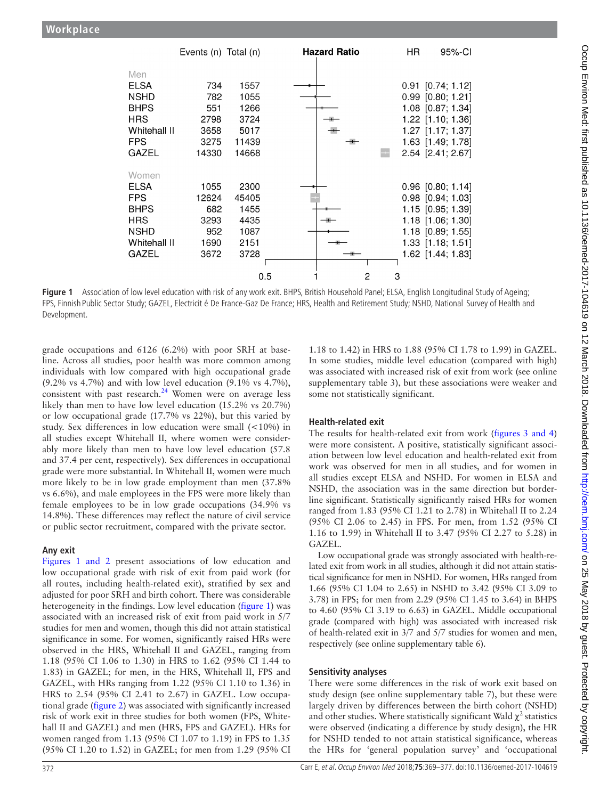

**Figure 1** Association of low level education with risk of any work exit. BHPS, British Household Panel; ELSA, English Longitudinal Study of Ageing; FPS, Finnish Public Sector Study; GAZEL, Electricit é De France-Gaz De France; HRS, Health and Retirement Study; NSHD, National Survey of Health and Development.

grade occupations and 6126 (6.2%) with poor SRH at baseline. Across all studies, poor health was more common among individuals with low compared with high occupational grade (9.2% vs 4.7%) and with low level education (9.1% vs 4.7%), consistent with past research.<sup>24</sup> Women were on average less likely than men to have low level education (15.2% vs 20.7%) or low occupational grade (17.7% vs 22%), but this varied by study. Sex differences in low education were small (<10%) in all studies except Whitehall II, where women were considerably more likely than men to have low level education (57.8 and 37.4 per cent, respectively). Sex differences in occupational grade were more substantial. In Whitehall II, women were much more likely to be in low grade employment than men (37.8% vs 6.6%), and male employees in the FPS were more likely than female employees to be in low grade occupations (34.9% vs 14.8%). These differences may reflect the nature of civil service or public sector recruitment, compared with the private sector.

#### **Any exit**

Figures [1 and 2](#page-3-0) present associations of low education and low occupational grade with risk of exit from paid work (for all routes, including health-related exit), stratified by sex and adjusted for poor SRH and birth cohort. There was considerable heterogeneity in the findings. Low level education [\(figure](#page-3-0) 1) was associated with an increased risk of exit from paid work in 5/7 studies for men and women, though this did not attain statistical significance in some. For women, significantly raised HRs were observed in the HRS, Whitehall II and GAZEL, ranging from 1.18 (95% CI 1.06 to 1.30) in HRS to 1.62 (95% CI 1.44 to 1.83) in GAZEL; for men, in the HRS, Whitehall II, FPS and GAZEL, with HRs ranging from 1.22 (95% CI 1.10 to 1.36) in HRS to 2.54 (95% CI 2.41 to 2.67) in GAZEL. Low occupational grade ([figure](#page-4-0) 2) was associated with significantly increased risk of work exit in three studies for both women (FPS, Whitehall II and GAZEL) and men (HRS, FPS and GAZEL). HRs for women ranged from 1.13 (95% CI 1.07 to 1.19) in FPS to 1.35 (95% CI 1.20 to 1.52) in GAZEL; for men from 1.29 (95% CI

<span id="page-3-0"></span>1.18 to 1.42) in HRS to 1.88 (95% CI 1.78 to 1.99) in GAZEL. In some studies, middle level education (compared with high) was associated with increased risk of exit from work (see online [supplementary table 3\)](https://dx.doi.org/10.1136/oemed-2017-104619), but these associations were weaker and some not statistically significant.

# **Health-related exit**

The results for health-related exit from work (figures [3 and 4](#page-4-1)) were more consistent. A positive, statistically significant association between low level education and health-related exit from work was observed for men in all studies, and for women in all studies except ELSA and NSHD. For women in ELSA and NSHD, the association was in the same direction but borderline significant. Statistically significantly raised HRs for women ranged from 1.83 (95% CI 1.21 to 2.78) in Whitehall II to 2.24 (95% CI 2.06 to 2.45) in FPS. For men, from 1.52 (95% CI 1.16 to 1.99) in Whitehall II to 3.47 (95% CI 2.27 to 5.28) in GAZEL.

Low occupational grade was strongly associated with health-related exit from work in all studies, although it did not attain statistical significance for men in NSHD. For women, HRs ranged from 1.66 (95% CI 1.04 to 2.65) in NSHD to 3.42 (95% CI 3.09 to 3.78) in FPS; for men from 2.29 (95% CI 1.45 to 3.64) in BHPS to 4.60 (95% CI 3.19 to 6.63) in GAZEL. Middle occupational grade (compared with high) was associated with increased risk of health-related exit in 3/7 and 5/7 studies for women and men, respectively (see online [supplementary table 6](https://dx.doi.org/10.1136/oemed-2017-104619)).

## **Sensitivity analyses**

There were some differences in the risk of work exit based on study design (see online [supplementary table 7](https://dx.doi.org/10.1136/oemed-2017-104619)), but these were largely driven by differences between the birth cohort (NSHD) and other studies. Where statistically significant Wald  $\chi^2$  statistics were observed (indicating a difference by study design), the HR for NSHD tended to not attain statistical significance, whereas the HRs for 'general population survey' and 'occupational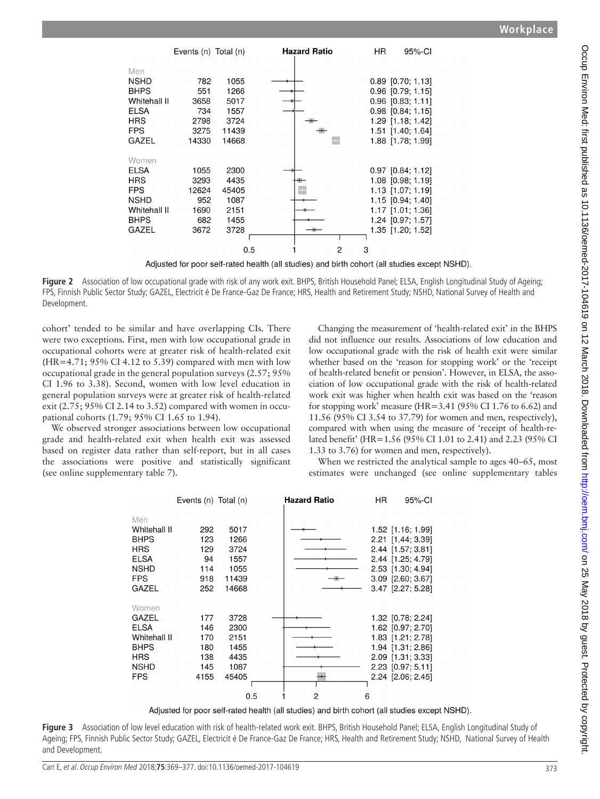

<span id="page-4-0"></span>Adjusted for poor self-rated health (all studies) and birth cohort (all studies except NSHD).

**Figure 2** Association of low occupational grade with risk of any work exit. BHPS, British Household Panel; ELSA, English Longitudinal Study of Ageing; FPS, Finnish Public Sector Study; GAZEL, Electricit é De France-Gaz De France; HRS, Health and Retirement Study; NSHD, National Survey of Health and Development.

cohort' tended to be similar and have overlapping CIs. There were two exceptions. First, men with low occupational grade in occupational cohorts were at greater risk of health-related exit  $(HR=4.71; 95\% \text{ CI } 4.12 \text{ to } 5.39)$  compared with men with low occupational grade in the general population surveys (2.57; 95% CI 1.96 to 3.38). Second, women with low level education in general population surveys were at greater risk of health-related exit (2.75; 95% CI 2.14 to 3.52) compared with women in occupational cohorts (1.79; 95% CI 1.65 to 1.94).

We observed stronger associations between low occupational grade and health-related exit when health exit was assessed based on register data rather than self-report, but in all cases the associations were positive and statistically significant (see online [supplementary table 7](https://dx.doi.org/10.1136/oemed-2017-104619)).

Changing the measurement of 'health-related exit' in the BHPS did not influence our results. Associations of low education and low occupational grade with the risk of health exit were similar whether based on the 'reason for stopping work' or the 'receipt of health-related benefit or pension'. However, in ELSA, the association of low occupational grade with the risk of health-related work exit was higher when health exit was based on the 'reason for stopping work' measure (HR=3.41 (95% CI 1.76 to 6.62) and 11.56 (95% CI 3.54 to 37.79) for women and men, respectively), compared with when using the measure of 'receipt of health-related benefit' (HR=1.56 (95% CI 1.01 to 2.41) and 2.23 (95% CI 1.33 to 3.76) for women and men, respectively).

When we restricted the analytical sample to ages 40–65, most estimates were unchanged (see online [supplementary tables](https://dx.doi.org/10.1136/oemed-2017-104619)

|                                                                                                         | Events (n) Total (n)                           |                                                              | <b>Hazard Ratio</b> | HR. | 95%-CI                                                                                                                                          |
|---------------------------------------------------------------------------------------------------------|------------------------------------------------|--------------------------------------------------------------|---------------------|-----|-------------------------------------------------------------------------------------------------------------------------------------------------|
| Men<br>Whitehall II<br><b>BHPS</b><br><b>HRS</b><br><b>ELSA</b><br><b>NSHD</b><br><b>FPS</b><br>GAZEL   | 292<br>123<br>129<br>94<br>114<br>918<br>252   | 5017<br>1266<br>3724<br>1557<br>1055<br>11439<br>14668       |                     |     | 1.52 [1.16; 1.99]<br>2.21 [1.44; 3.39]<br>2.44 [1.57; 3.81]<br>2.44 [1.25; 4.79]<br>2.53 [1.30; 4.94]<br>3.09 [2.60; 3.67]<br>3.47 [2.27; 5.28] |
| Women<br>GAZEL<br><b>ELSA</b><br>Whitehall II<br><b>BHPS</b><br><b>HRS</b><br><b>NSHD</b><br><b>FPS</b> | 177<br>146<br>170<br>180<br>138<br>145<br>4155 | 3728<br>2300<br>2151<br>1455<br>4435<br>1087<br>45405<br>0.5 | 2                   | 6   | 1.32 [0.78; 2.24]<br>1.62 [0.97; 2.70]<br>1.83 [1.21; 2.78]<br>1.94 [1.31; 2.86]<br>2.09 [1.31; 3.33]<br>2.23 [0.97; 5.11]<br>2.24 [2.06; 2.45] |

<span id="page-4-1"></span>Adjusted for poor self-rated health (all studies) and birth cohort (all studies except NSHD).

**Figure 3** Association of low level education with risk of health-related work exit. BHPS, British Household Panel; ELSA, English Longitudinal Study of Ageing; FPS, Finnish Public Sector Study; GAZEL, Electricit é De France-Gaz De France; HRS, Health and Retirement Study; NSHD, National Survey of Health and Development.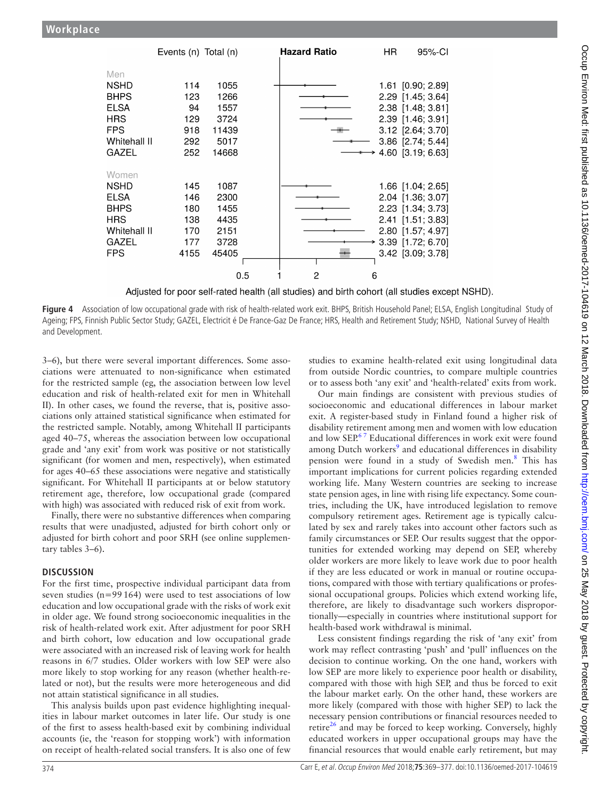|                                                                                                         | Events $(n)$ Total $(n)$                       |                                                       | <b>Hazard Ratio</b> | HR. | 95%-CI                                                                                                                                          |
|---------------------------------------------------------------------------------------------------------|------------------------------------------------|-------------------------------------------------------|---------------------|-----|-------------------------------------------------------------------------------------------------------------------------------------------------|
| Men<br><b>NSHD</b><br><b>BHPS</b><br><b>ELSA</b>                                                        | 114<br>123<br>94                               | 1055<br>1266<br>1557                                  |                     |     | $1.61$ [0.90; 2.89]<br>2.29 [1.45; 3.64]<br>2.38 [1.48; 3.81]                                                                                   |
| <b>HRS</b><br><b>FPS</b><br>Whitehall II<br>GAZEL                                                       | 129<br>918<br>292<br>252                       | 3724<br>11439<br>5017<br>14668                        |                     |     | 2.39 [1.46; 3.91]<br>3.12 [2.64; 3.70]<br>3.86 [2.74; 5.44]<br>4.60 [3.19; 6.63]                                                                |
| Women<br><b>NSHD</b><br><b>ELSA</b><br><b>BHPS</b><br><b>HRS</b><br>Whitehall II<br>GAZEL<br><b>FPS</b> | 145<br>146<br>180<br>138<br>170<br>177<br>4155 | 1087<br>2300<br>1455<br>4435<br>2151<br>3728<br>45405 |                     |     | 1.66 [1.04; 2.65]<br>2.04 [1.36; 3.07]<br>2.23 [1.34; 3.73]<br>2.41 [1.51; 3.83]<br>2.80 [1.57; 4.97]<br>3.39 [1.72; 6.70]<br>3.42 [3.09; 3.78] |
|                                                                                                         |                                                | 0.5                                                   | 2                   | 6   |                                                                                                                                                 |

Adjusted for poor self-rated health (all studies) and birth cohort (all studies except NSHD).

**Figure 4** Association of low occupational grade with risk of health-related work exit. BHPS, British Household Panel; ELSA, English Longitudinal Study of Ageing; FPS, Finnish Public Sector Study; GAZEL, Electricit é De France-Gaz De France; HRS, Health and Retirement Study; NSHD, National Survey of Health and Development.

[3–6\)](https://dx.doi.org/10.1136/oemed-2017-104619), but there were several important differences. Some associations were attenuated to non-significance when estimated for the restricted sample (eg, the association between low level education and risk of health-related exit for men in Whitehall II). In other cases, we found the reverse, that is, positive associations only attained statistical significance when estimated for the restricted sample. Notably, among Whitehall II participants aged 40–75, whereas the association between low occupational grade and 'any exit' from work was positive or not statistically significant (for women and men, respectively), when estimated for ages 40–65 these associations were negative and statistically significant. For Whitehall II participants at or below statutory retirement age, therefore, low occupational grade (compared with high) was associated with reduced risk of exit from work.

Finally, there were no substantive differences when comparing results that were unadjusted, adjusted for birth cohort only or adjusted for birth cohort and poor SRH (see online [supplemen](https://dx.doi.org/10.1136/oemed-2017-104619)[tary tables 3–6\)](https://dx.doi.org/10.1136/oemed-2017-104619).

## **Discussion**

For the first time, prospective individual participant data from seven studies (n=99164) were used to test associations of low education and low occupational grade with the risks of work exit in older age. We found strong socioeconomic inequalities in the risk of health-related work exit. After adjustment for poor SRH and birth cohort, low education and low occupational grade were associated with an increased risk of leaving work for health reasons in 6/7 studies. Older workers with low SEP were also more likely to stop working for any reason (whether health-related or not), but the results were more heterogeneous and did not attain statistical significance in all studies.

This analysis builds upon past evidence highlighting inequalities in labour market outcomes in later life. Our study is one of the first to assess health-based exit by combining individual accounts (ie, the 'reason for stopping work') with information on receipt of health-related social transfers. It is also one of few

studies to examine health-related exit using longitudinal data from outside Nordic countries, to compare multiple countries or to assess both 'any exit' and 'health-related' exits from work.

Our main findings are consistent with previous studies of socioeconomic and educational differences in labour market exit. A register-based study in Finland found a higher risk of disability retirement among men and women with low education and low SEP.<sup>67</sup> Educational differences in work exit were found among Dutch workers<sup>[9](#page-7-7)</sup> and educational differences in disability pension were found in a study of Swedish men.<sup>8</sup> This has important implications for current policies regarding extended working life. Many Western countries are seeking to increase state pension ages, in line with rising life expectancy. Some countries, including the UK, have introduced legislation to remove compulsory retirement ages. Retirement age is typically calculated by sex and rarely takes into account other factors such as family circumstances or SEP. Our results suggest that the opportunities for extended working may depend on SEP, whereby older workers are more likely to leave work due to poor health if they are less educated or work in manual or routine occupations, compared with those with tertiary qualifications or professional occupational groups. Policies which extend working life, therefore, are likely to disadvantage such workers disproportionally—especially in countries where institutional support for health-based work withdrawal is minimal.

Less consistent findings regarding the risk of 'any exit' from work may reflect contrasting 'push' and 'pull' influences on the decision to continue working. On the one hand, workers with low SEP are more likely to experience poor health or disability, compared with those with high SEP, and thus be forced to exit the labour market early. On the other hand, these workers are more likely (compared with those with higher SEP) to lack the necessary pension contributions or financial resources needed to retire $^{26}$  and may be forced to keep working. Conversely, highly educated workers in upper occupational groups may have the financial resources that would enable early retirement, but may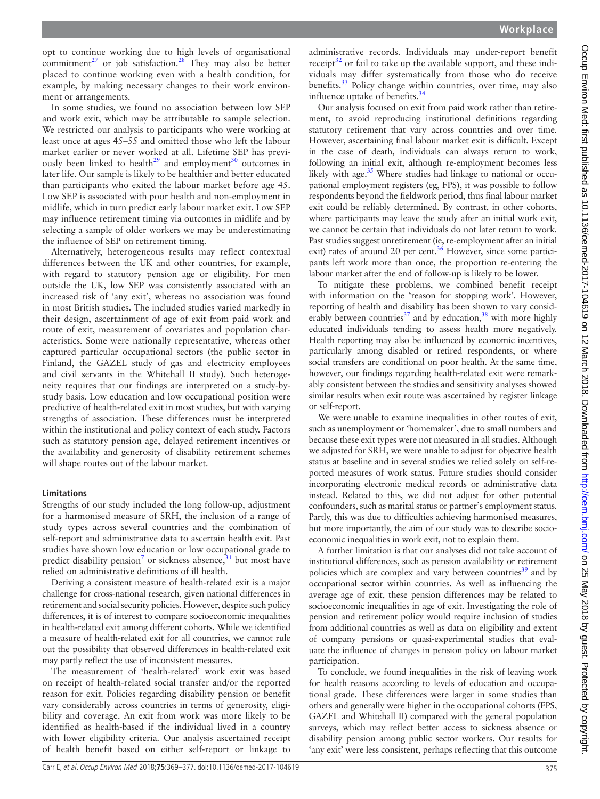opt to continue working due to high levels of organisational commitment<sup>27</sup> or job satisfaction.<sup>28</sup> They may also be better placed to continue working even with a health condition, for example, by making necessary changes to their work environment or arrangements.

In some studies, we found no association between low SEP and work exit, which may be attributable to sample selection. We restricted our analysis to participants who were working at least once at ages 45–55 and omitted those who left the labour market earlier or never worked at all. Lifetime SEP has previously been linked to health<sup>29</sup> and employment<sup>30</sup> outcomes in later life. Our sample is likely to be healthier and better educated than participants who exited the labour market before age 45. Low SEP is associated with poor health and non-employment in midlife, which in turn predict early labour market exit. Low SEP may influence retirement timing via outcomes in midlife and by selecting a sample of older workers we may be underestimating the influence of SEP on retirement timing.

Alternatively, heterogeneous results may reflect contextual differences between the UK and other countries, for example, with regard to statutory pension age or eligibility. For men outside the UK, low SEP was consistently associated with an increased risk of 'any exit', whereas no association was found in most British studies. The included studies varied markedly in their design, ascertainment of age of exit from paid work and route of exit, measurement of covariates and population characteristics. Some were nationally representative, whereas other captured particular occupational sectors (the public sector in Finland, the GAZEL study of gas and electricity employees and civil servants in the Whitehall II study). Such heterogeneity requires that our findings are interpreted on a study-bystudy basis. Low education and low occupational position were predictive of health-related exit in most studies, but with varying strengths of association. These differences must be interpreted within the institutional and policy context of each study. Factors such as statutory pension age, delayed retirement incentives or the availability and generosity of disability retirement schemes will shape routes out of the labour market.

## **Limitations**

Strengths of our study included the long follow-up, adjustment for a harmonised measure of SRH, the inclusion of a range of study types across several countries and the combination of self-report and administrative data to ascertain health exit. Past studies have shown low education or low occupational grade to predict disability pension<sup>[7](#page-7-6)</sup> or sickness absence,  $31$  but most have relied on administrative definitions of ill health.

Deriving a consistent measure of health-related exit is a major challenge for cross-national research, given national differences in retirement and social security policies. However, despite such policy differences, it is of interest to compare socioeconomic inequalities in health-related exit among different cohorts. While we identified a measure of health-related exit for all countries, we cannot rule out the possibility that observed differences in health-related exit may partly reflect the use of inconsistent measures.

The measurement of 'health-related' work exit was based on receipt of health-related social transfer and/or the reported reason for exit. Policies regarding disability pension or benefit vary considerably across countries in terms of generosity, eligibility and coverage. An exit from work was more likely to be identified as health-based if the individual lived in a country with lower eligibility criteria. Our analysis ascertained receipt of health benefit based on either self-report or linkage to

administrative records. Individuals may under-report benefit receipt $32$  or fail to take up the available support, and these individuals may differ systematically from those who do receive benefits.<sup>33</sup> Policy change within countries, over time, may also influence uptake of benefits.<sup>[34](#page-8-4)</sup>

Our analysis focused on exit from paid work rather than retirement, to avoid reproducing institutional definitions regarding statutory retirement that vary across countries and over time. However, ascertaining final labour market exit is difficult. Except in the case of death, individuals can always return to work, following an initial exit, although re-employment becomes less likely with age.<sup>35</sup> Where studies had linkage to national or occupational employment registers (eg, FPS), it was possible to follow respondents beyond the fieldwork period, thus final labour market exit could be reliably determined. By contrast, in other cohorts, where participants may leave the study after an initial work exit, we cannot be certain that individuals do not later return to work. Past studies suggest unretirement (ie, re-employment after an initial exit) rates of around 20 per cent. $36$  However, since some participants left work more than once, the proportion re-entering the labour market after the end of follow-up is likely to be lower.

To mitigate these problems, we combined benefit receipt with information on the 'reason for stopping work'. However, reporting of health and disability has been shown to vary consid-erably between countries<sup>[37](#page-8-7)</sup> and by education,<sup>38</sup> with more highly educated individuals tending to assess health more negatively. Health reporting may also be influenced by economic incentives, particularly among disabled or retired respondents, or where social transfers are conditional on poor health. At the same time, however, our findings regarding health-related exit were remarkably consistent between the studies and sensitivity analyses showed similar results when exit route was ascertained by register linkage or self-report.

We were unable to examine inequalities in other routes of exit, such as unemployment or 'homemaker', due to small numbers and because these exit types were not measured in all studies. Although we adjusted for SRH, we were unable to adjust for objective health status at baseline and in several studies we relied solely on self-reported measures of work status. Future studies should consider incorporating electronic medical records or administrative data instead. Related to this, we did not adjust for other potential confounders, such as marital status or partner's employment status. Partly, this was due to difficulties achieving harmonised measures, but more importantly, the aim of our study was to describe socioeconomic inequalities in work exit, not to explain them.

A further limitation is that our analyses did not take account of institutional differences, such as pension availability or retirement policies which are complex and vary between countries<sup>[39](#page-8-9)</sup> and by occupational sector within countries. As well as influencing the average age of exit, these pension differences may be related to socioeconomic inequalities in age of exit. Investigating the role of pension and retirement policy would require inclusion of studies from additional countries as well as data on eligibility and extent of company pensions or quasi-experimental studies that evaluate the influence of changes in pension policy on labour market participation.

To conclude, we found inequalities in the risk of leaving work for health reasons according to levels of education and occupational grade. These differences were larger in some studies than others and generally were higher in the occupational cohorts (FPS, GAZEL and Whitehall II) compared with the general population surveys, which may reflect better access to sickness absence or disability pension among public sector workers. Our results for 'any exit' were less consistent, perhaps reflecting that this outcome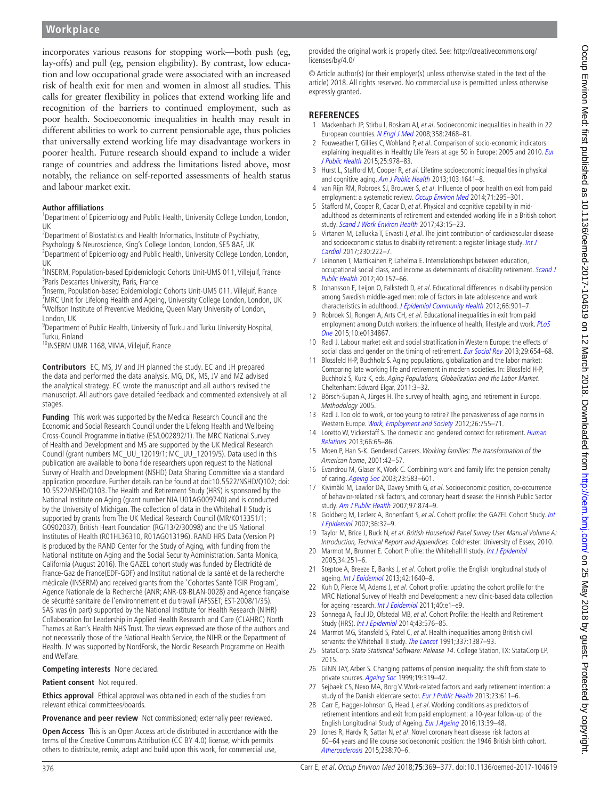## **Workplace**

incorporates various reasons for stopping work—both push (eg, lay-offs) and pull (eg, pension eligibility). By contrast, low education and low occupational grade were associated with an increased risk of health exit for men and women in almost all studies. This calls for greater flexibility in polices that extend working life and recognition of the barriers to continued employment, such as poor health. Socioeconomic inequalities in health may result in different abilities to work to current pensionable age, thus policies that universally extend working life may disadvantage workers in poorer health. Future research should expand to include a wider range of countries and address the limitations listed above, most notably, the reliance on self-reported assessments of health status and labour market exit.

#### **Author affiliations**

<sup>1</sup>Department of Epidemiology and Public Health, University College London, London, UK

<sup>2</sup> Department of Biostatistics and Health Informatics, Institute of Psychiatry,

Psychology & Neuroscience, King's College London, London, SE5 8AF, UK <sup>3</sup>Department of Epidemiology and Public Health, University College London, London,

UK

<sup>4</sup>INSERM, Population-based Epidemiologic Cohorts Unit-UMS 011, Villejuif, France<br><sup>5</sup>Paris Descartes University, Paris, France <sup>5</sup>Paris Descartes University, Paris, France

<sup>6</sup> Inserm, Population-based Epidemiologic Cohorts Unit-UMS 011, Villejuif, France<br><sup>7</sup>MBC Unit for Lifelong Health and Ageing University College London, London, L <sup>7</sup>MRC Unit for Lifelong Health and Ageing, University College London, London, UK <sup>8</sup>Wolfson Institute of Preventive Medicine, Queen Mary University of London, London, UK

<sup>9</sup>Department of Public Health, University of Turku and Turku University Hospital, Turku, Finland<br><sup>10</sup>INSERM UMR 1168, VIMA, Villejuif, France

**Contributors** EC, MS, JV and JH planned the study. EC and JH prepared the data and performed the data analysis. MG, DK, MS, JV and MZ advised the analytical strategy. EC wrote the manuscript and all authors revised the manuscript. All authors gave detailed feedback and commented extensively at all stages.

**Funding** This work was supported by the Medical Research Council and the Economic and Social Research Council under the Lifelong Health and Wellbeing Cross-Council Programme initiative (ES/L002892/1). The MRC National Survey of Health and Development and MS are supported by the UK Medical Research Council (grant numbers MC\_UU\_12019/1; MC\_UU\_12019/5). Data used in this publication are available to bona fide researchers upon request to the National Survey of Health and Development (NSHD) Data Sharing Committee via a standard application procedure. Further details can be found at doi:10.5522/NSHD/Q102; doi: 10.5522/NSHD/Q103. The Health and Retirement Study (HRS) is sponsored by the National Institute on Aging (grant number NIA U01AG009740) and is conducted by the University of Michigan. The collection of data in the Whitehall II Study is supported by grants from The UK Medical Research Council (MR/K013351/1; G0902037), British Heart Foundation (RG/13/2/30098) and the US National Institutes of Health (R01HL36310, R01AG013196). RAND HRS Data (Version P) is produced by the RAND Center for the Study of Aging, with funding from the National Institute on Aging and the Social Security Administration. Santa Monica, California (August 2016). The GAZEL cohort study was funded by Électricité de France-Gaz de France(EDF-GDF) and Institut national de la santé et de la recherche médicale (INSERM) and received grants from the 'Cohortes Santé TGIR Program', Agence Nationale de la Recherché (ANR; ANR-08-BLAN-0028) and Agence française de sécurité sanitaire de l'environnement et du travail (AFSSET; EST-2008/1/35). SAS was (in part) supported by the National Institute for Health Research (NIHR) Collaboration for Leadership in Applied Health Research and Care (CLAHRC) North Thames at Bart's Health NHS Trust. The views expressed are those of the authors and not necessarily those of the National Health Service, the NIHR or the Department of Health. JV was supported by NordForsk, the Nordic Research Programme on Health and Welfare.

**Competing interests** None declared.

**Patient consent** Not required.

**Ethics approval** Ethical approval was obtained in each of the studies from relevant ethical committees/boards.

**Provenance and peer review** Not commissioned; externally peer reviewed.

**Open Access** This is an Open Access article distributed in accordance with the terms of the Creative Commons Attribution (CC BY 4.0) license, which permits others to distribute, remix, adapt and build upon this work, for commercial use,

provided the original work is properly cited. See: [http://creativecommons.org/](http://creativecommons.org/licenses/by/4.0/) [licenses/by/4.0/](http://creativecommons.org/licenses/by/4.0/)

© Article author(s) (or their employer(s) unless otherwise stated in the text of the article) 2018. All rights reserved. No commercial use is permitted unless otherwise expressly granted.

#### **References**

- <span id="page-7-0"></span>1 Mackenbach JP, Stirbu I, Roskam AJ, et al. Socioeconomic inequalities in health in 22 European countries. [N Engl J Med](http://dx.doi.org/10.1056/NEJMsa0707519) 2008;358:2468–81.
- <span id="page-7-1"></span>2 Fouweather T, Gillies C, Wohland P, et al. Comparison of socio-economic indicators explaining inequalities in Healthy Life Years at age 50 in Europe: 2005 and 2010. Eur [J Public Health](http://dx.doi.org/10.1093/eurpub/ckv070) 2015;25:978–83.
- <span id="page-7-2"></span>3 Hurst L, Stafford M, Cooper R, et al. Lifetime socioeconomic inequalities in physical and cognitive aging. [Am J Public Health](http://dx.doi.org/10.2105/AJPH.2013.301240) 2013;103:1641–8.
- <span id="page-7-3"></span>4 van Rijn RM, Robroek SJ, Brouwer S, et al. Influence of poor health on exit from paid employment: a systematic review. [Occup Environ Med](http://dx.doi.org/10.1136/oemed-2013-101591) 2014;71:295-301.
- <span id="page-7-4"></span>5 Stafford M, Cooper R, Cadar D, et al. Physical and cognitive capability in midadulthood as determinants of retirement and extended working life in a British cohort study. [Scand J Work Environ Health](http://dx.doi.org/10.5271/sjweh.3589) 2017;43:15–23.
- <span id="page-7-5"></span>6 Virtanen M, Lallukka T, Ervasti J, et al. The joint contribution of cardiovascular disease and socioeconomic status to disability retirement: a register linkage study. Int J [Cardiol](http://dx.doi.org/10.1016/j.ijcard.2016.12.166) 2017;230:222–7.
- <span id="page-7-6"></span>7 Leinonen T, Martikainen P, Lahelma E. Interrelationships between education, occupational social class, and income as determinants of disability retirement. Scand J [Public Health](http://dx.doi.org/10.1177/1403494811435492) 2012;40:157–66.
- <span id="page-7-23"></span>8 Johansson E, Leijon O, Falkstedt D, et al. Educational differences in disability pension among Swedish middle-aged men: role of factors in late adolescence and work characteristics in adulthood. [J Epidemiol Community Health](http://dx.doi.org/10.1136/jech-2011-200317) 2012;66:901-7.
- <span id="page-7-7"></span>9 Robroek SJ, Rongen A, Arts CH, et al. Educational inequalities in exit from paid employment among Dutch workers: the influence of health, lifestyle and work. PLoS [One](http://dx.doi.org/10.1371/journal.pone.0134867) 2015;10:e0134867.
- <span id="page-7-8"></span>10 Radl J. Labour market exit and social stratification in Western Europe: the effects of social class and gender on the timing of retirement. [Eur Sociol Rev](http://dx.doi.org/10.1093/esr/jcs045) 2013;29:654-68.
- <span id="page-7-9"></span>11 Blossfeld H-P, Buchholz S. Aging populations, globalization and the labor market: Comparing late working life and retirement in modern societies. In: Blossfeld H-P, Buchholz S, Kurz K, eds. Aging Populations, Globalization and the Labor Market. Cheltenham: Edward Elgar, 2011:3–32.
- <span id="page-7-10"></span>12 Börsch-Supan A, Jürges H. The survey of health, aging, and retirement in Europe. Methodology 2005.
- <span id="page-7-11"></span>13 Radl J. Too old to work, or too young to retire? The pervasiveness of age norms in Western Europe. [Work, Employment and Society](http://dx.doi.org/10.1177/0950017012451644) 2012;26:755–71.
- 14 Loretto W, Vickerstaff S. The domestic and gendered context for retirement. Human [Relations](http://dx.doi.org/10.1177/0018726712455832) 2013;66:65–86.
- <span id="page-7-12"></span>15 Moen P, Han S-K. Gendered Careers. Working families: The transformation of the American home, 2001:42–57.
- <span id="page-7-13"></span>16 Evandrou M, Glaser K, Work C. Combining work and family life: the pension penalty of caring. [Ageing Soc](http://dx.doi.org/10.1017/S0144686X03001314) 2003;23:583-601.
- <span id="page-7-14"></span>17 Kivimäki M, Lawlor DA, Davey Smith G, et al. Socioeconomic position, co-occurrence of behavior-related risk factors, and coronary heart disease: the Finnish Public Sector study. [Am J Public Health](http://dx.doi.org/10.2105/AJPH.2005.078691) 2007;97:874-9.
- <span id="page-7-15"></span>18 Goldberg M, Leclerc A, Bonenfant S, et al. Cohort profile: the GAZEL Cohort Study. Int [J Epidemiol](http://dx.doi.org/10.1093/ije/dyl247) 2007;36:32–9.
- <span id="page-7-16"></span>19 Taylor M, Brice J, Buck N, et al. British Household Panel Survey User Manual Volume A: Introduction, Technical Report and Appendices. Colchester: University of Essex, 2010.
- <span id="page-7-17"></span>20 Marmot M, Brunner E. Cohort Profile: the Whitehall II study. [Int J Epidemiol](http://dx.doi.org/10.1093/ije/dyh372) 2005;34:251–6.
- <span id="page-7-18"></span>21 Steptoe A, Breeze E, Banks J, et al. Cohort profile: the English longitudinal study of ageing. [Int J Epidemiol](http://dx.doi.org/10.1093/ije/dys168) 2013;42:1640–8.
- <span id="page-7-19"></span>22 Kuh D, Pierce M, Adams J, et al. Cohort profile: updating the cohort profile for the MRC National Survey of Health and Development: a new clinic-based data collection for ageing research. [Int J Epidemiol](http://dx.doi.org/10.1093/ije/dyq231) 2011;40:e1-e9.
- <span id="page-7-20"></span>23 Sonnega A, Faul JD, Ofstedal MB, et al. Cohort Profile: the Health and Retirement Study (HRS). [Int J Epidemiol](http://dx.doi.org/10.1093/ije/dyu067) 2014;43:576–85.
- <span id="page-7-21"></span>24 Marmot MG, Stansfeld S, Patel C, et al. Health inequalities among British civil servants: the Whitehall II study. [The Lancet](http://dx.doi.org/10.1016/0140-6736(91)93068-K) 1991;337:1387-93.
- <span id="page-7-22"></span>25 StataCorp. Stata Statistical Software: Release 14. College Station, TX: StataCorp LP, 2015.
- <span id="page-7-24"></span>26 GINN JAY, Arber S. Changing patterns of pension inequality: the shift from state to private sources. [Ageing Soc](http://dx.doi.org/10.1017/S0144686X99007333) 1999; 19:319-42.
- <span id="page-7-25"></span>27 Sejbaek CS, Nexo MA, Borg V. Work-related factors and early retirement intention: a study of the Danish eldercare sector. [Eur J Public Health](http://dx.doi.org/10.1093/eurpub/cks117) 2013;23:611-6.
- <span id="page-7-26"></span>28 Carr E, Hagger-Johnson G, Head J, et al. Working conditions as predictors of retirement intentions and exit from paid employment: a 10-year follow-up of the English Longitudinal Study of Ageing. [Eur J Ageing](http://dx.doi.org/10.1007/s10433-015-0357-9) 2016;13:39–48.
- <span id="page-7-27"></span>29 Jones R, Hardy R, Sattar N, et al. Novel coronary heart disease risk factors at 60–64 years and life course socioeconomic position: the 1946 British birth cohort. [Atherosclerosis](http://dx.doi.org/10.1016/j.atherosclerosis.2014.11.011) 2015;238:70–6.